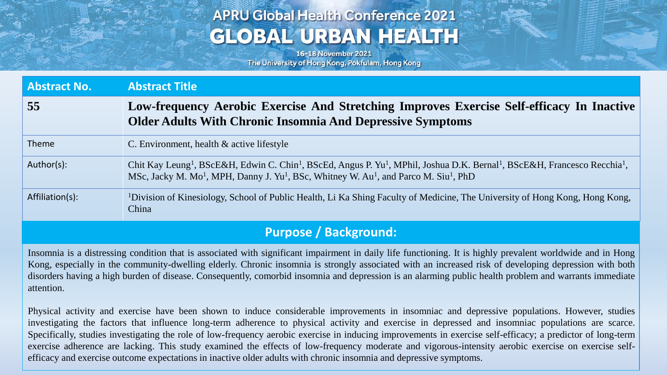# **APRU Global Health Conference 2021 GLOBAL URBAN HEALTH**

16-18 November 2021 The University of Hong Kong, Pokfulam, Hong Kong

| <b>Abstract No.</b> | <b>Abstract Title</b>                                                                                                                                                                                                                                                                                                           |
|---------------------|---------------------------------------------------------------------------------------------------------------------------------------------------------------------------------------------------------------------------------------------------------------------------------------------------------------------------------|
| 55                  | Low-frequency Aerobic Exercise And Stretching Improves Exercise Self-efficacy In Inactive<br><b>Older Adults With Chronic Insomnia And Depressive Symptoms</b>                                                                                                                                                                  |
| <b>Theme</b>        | C. Environment, health $\&$ active lifestyle                                                                                                                                                                                                                                                                                    |
| Author(s):          | Chit Kay Leung <sup>1</sup> , BScE&H, Edwin C. Chin <sup>1</sup> , BScEd, Angus P. Yu <sup>1</sup> , MPhil, Joshua D.K. Bernal <sup>1</sup> , BScE&H, Francesco Recchia <sup>1</sup> ,<br>MSc, Jacky M. Mo <sup>1</sup> , MPH, Danny J. Yu <sup>1</sup> , BSc, Whitney W. Au <sup>1</sup> , and Parco M. Siu <sup>1</sup> , PhD |
| Affiliation(s):     | <sup>1</sup> Division of Kinesiology, School of Public Health, Li Ka Shing Faculty of Medicine, The University of Hong Kong, Hong Kong,<br>China                                                                                                                                                                                |

#### **Purpose / Background:**

Insomnia is a distressing condition that is associated with significant impairment in daily life functioning. It is highly prevalent worldwide and in Hong Kong, especially in the community-dwelling elderly. Chronic insomnia is strongly associated with an increased risk of developing depression with both disorders having a high burden of disease. Consequently, comorbid insomnia and depression is an alarming public health problem and warrants immediate attention.

Physical activity and exercise have been shown to induce considerable improvements in insomniac and depressive populations. However, studies investigating the factors that influence long-term adherence to physical activity and exercise in depressed and insomniac populations are scarce. Specifically, studies investigating the role of low-frequency aerobic exercise in inducing improvements in exercise self-efficacy; a predictor of long-term exercise adherence are lacking. This study examined the effects of low-frequency moderate and vigorous-intensity aerobic exercise on exercise selfefficacy and exercise outcome expectations in inactive older adults with chronic insomnia and depressive symptoms.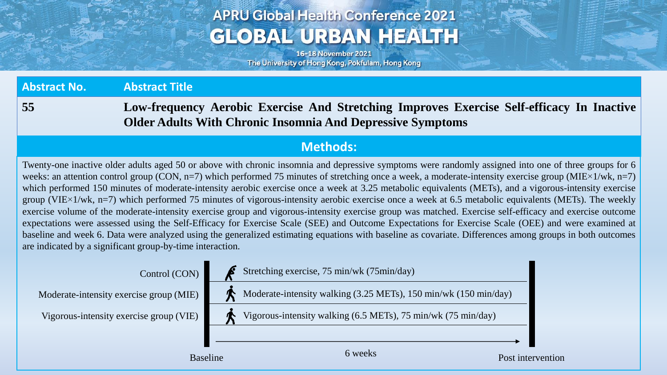# **APRU Global Health Conference 2021 GLOBAL URBAN HEALTH**

16-18 November 2021 The University of Hong Kong, Pokfulam, Hong Kong

**Abstract No. Abstract Title 55 Low-frequency Aerobic Exercise And Stretching Improves Exercise Self-efficacy In Inactive Older Adults With Chronic Insomnia And Depressive Symptoms**

#### **Methods:**

Twenty-one inactive older adults aged 50 or above with chronic insomnia and depressive symptoms were randomly assigned into one of three groups for 6 weeks: an attention control group (CON,  $n=7$ ) which performed 75 minutes of stretching once a week, a moderate-intensity exercise group (MIE×1/wk,  $n=7$ ) which performed 150 minutes of moderate-intensity aerobic exercise once a week at 3.25 metabolic equivalents (METs), and a vigorous-intensity exercise group (VIE×1/wk, n=7) which performed 75 minutes of vigorous-intensity aerobic exercise once a week at 6.5 metabolic equivalents (METs). The weekly exercise volume of the moderate-intensity exercise group and vigorous-intensity exercise group was matched. Exercise self-efficacy and exercise outcome expectations were assessed using the Self-Efficacy for Exercise Scale (SEE) and Outcome Expectations for Exercise Scale (OEE) and were examined at baseline and week 6. Data were analyzed using the generalized estimating equations with baseline as covariate. Differences among groups in both outcomes are indicated by a significant group-by-time interaction.